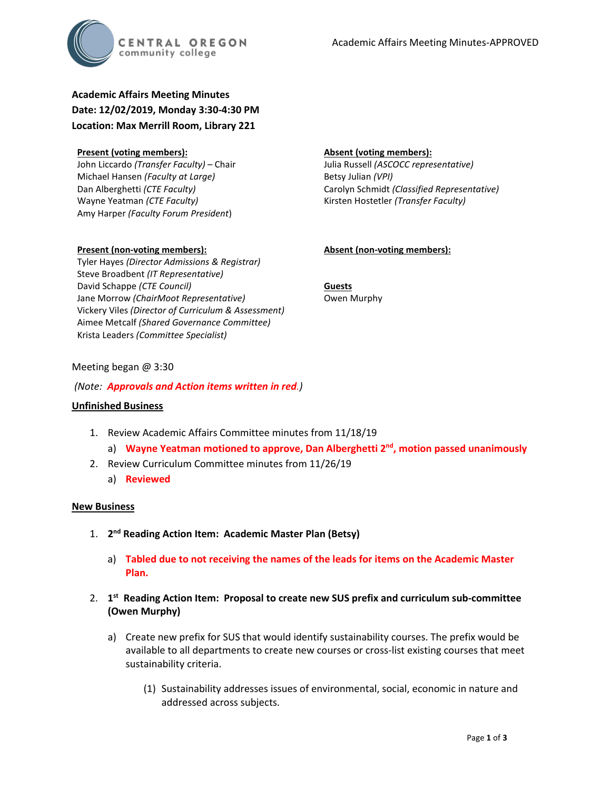

**Academic Affairs Meeting Minutes Date: 12/02/2019, Monday 3:30-4:30 PM Location: Max Merrill Room, Library 221**

#### **Present (voting members):**

John Liccardo *(Transfer Faculty)* – Chair Michael Hansen *(Faculty at Large)* Dan Alberghetti *(CTE Faculty)* Wayne Yeatman *(CTE Faculty)* Amy Harper *(Faculty Forum President*)

### **Absent (voting members):**

Julia Russell *(ASCOCC representative)* Betsy Julian *(VPI)* Carolyn Schmidt *(Classified Representative)* Kirsten Hostetler *(Transfer Faculty)*

## **Absent (non-voting members):**

**Present (non-voting members):** Tyler Hayes *(Director Admissions & Registrar)* Steve Broadbent *(IT Representative)* David Schappe *(CTE Council)* Jane Morrow *(ChairMoot Representative)* Vickery Viles *(Director of Curriculum & Assessment)* Aimee Metcalf *(Shared Governance Committee)* Krista Leaders *(Committee Specialist)*

**Guests** Owen Murphy

## Meeting began @ 3:30

*(Note: Approvals and Action items written in red.)*

### **Unfinished Business**

- 1. Review Academic Affairs Committee minutes from 11/18/19
	- a) **Wayne Yeatman motioned to approve, Dan Alberghetti 2nd, motion passed unanimously**
- 2. Review Curriculum Committee minutes from 11/26/19
	- a) **Reviewed**

### **New Business**

- 1. **2nd Reading Action Item: Academic Master Plan (Betsy)**
	- a) **Tabled due to not receiving the names of the leads for items on the Academic Master Plan.**
- 2. **1st Reading Action Item: Proposal to create new SUS prefix and curriculum sub-committee (Owen Murphy)**
	- a) Create new prefix for SUS that would identify sustainability courses. The prefix would be available to all departments to create new courses or cross-list existing courses that meet sustainability criteria.
		- (1) Sustainability addresses issues of environmental, social, economic in nature and addressed across subjects.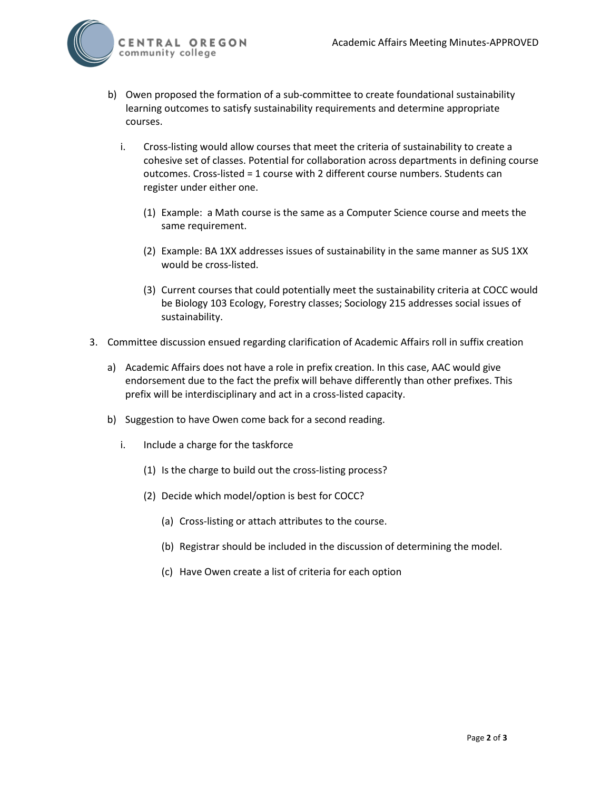

- b) Owen proposed the formation of a sub-committee to create foundational sustainability learning outcomes to satisfy sustainability requirements and determine appropriate courses.
	- i. Cross-listing would allow courses that meet the criteria of sustainability to create a cohesive set of classes. Potential for collaboration across departments in defining course outcomes. Cross-listed = 1 course with 2 different course numbers. Students can register under either one.
		- (1) Example: a Math course is the same as a Computer Science course and meets the same requirement.
		- (2) Example: BA 1XX addresses issues of sustainability in the same manner as SUS 1XX would be cross-listed.
		- (3) Current courses that could potentially meet the sustainability criteria at COCC would be Biology 103 Ecology, Forestry classes; Sociology 215 addresses social issues of sustainability.
- 3. Committee discussion ensued regarding clarification of Academic Affairs roll in suffix creation
	- a) Academic Affairs does not have a role in prefix creation. In this case, AAC would give endorsement due to the fact the prefix will behave differently than other prefixes. This prefix will be interdisciplinary and act in a cross-listed capacity.
	- b) Suggestion to have Owen come back for a second reading.
		- i. Include a charge for the taskforce
			- (1) Is the charge to build out the cross-listing process?
			- (2) Decide which model/option is best for COCC?
				- (a) Cross-listing or attach attributes to the course.
				- (b) Registrar should be included in the discussion of determining the model.
				- (c) Have Owen create a list of criteria for each option